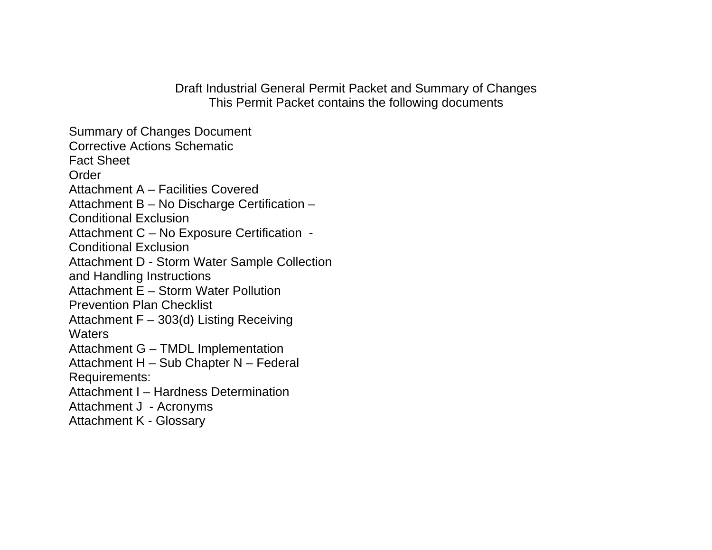Draft Industrial General Permit Packet and Summary of Changes This Permit Packet contains the following documents

Summary of Changes Document Corrective Actions Schematic Fact Sheet **Order** Attachment A – Facilities Covered Attachment B – No Discharge Certification – Conditional Exclusion Attachment C – No Exposure Certification - Conditional Exclusion Attachment D - Storm Water Sample Collection and Handling Instructions Attachment E – Storm Water Pollution Prevention Plan Checklist Attachment F – 303(d) Listing Receiving **Waters** Attachment G – TMDL Implementation Attachment H – Sub Chapter N – Federal Requirements: Attachment I – Hardness Determination Attachment J - Acronyms Attachment K - Glossary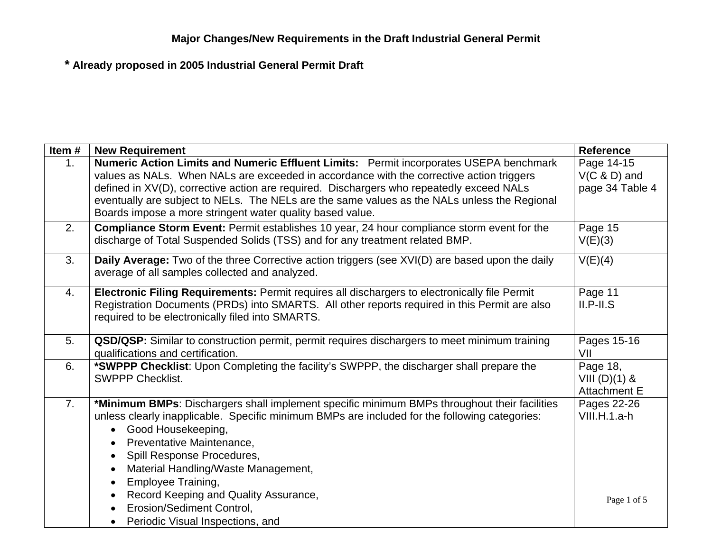| Item#          | <b>New Requirement</b>                                                                                                                                                                                                                                                                                                                                                                                                                      | <b>Reference</b>                                   |
|----------------|---------------------------------------------------------------------------------------------------------------------------------------------------------------------------------------------------------------------------------------------------------------------------------------------------------------------------------------------------------------------------------------------------------------------------------------------|----------------------------------------------------|
| 1 <sub>1</sub> | Numeric Action Limits and Numeric Effluent Limits: Permit incorporates USEPA benchmark<br>values as NALs. When NALs are exceeded in accordance with the corrective action triggers<br>defined in XV(D), corrective action are required. Dischargers who repeatedly exceed NALs<br>eventually are subject to NELs. The NELs are the same values as the NALs unless the Regional<br>Boards impose a more stringent water quality based value. | Page 14-15<br>$V(C & D)$ and<br>page 34 Table 4    |
| 2.             | <b>Compliance Storm Event: Permit establishes 10 year, 24 hour compliance storm event for the</b><br>discharge of Total Suspended Solids (TSS) and for any treatment related BMP.                                                                                                                                                                                                                                                           | Page 15<br>V(E)(3)                                 |
| 3.             | Daily Average: Two of the three Corrective action triggers (see XVI(D) are based upon the daily<br>average of all samples collected and analyzed.                                                                                                                                                                                                                                                                                           | V(E)(4)                                            |
| 4.             | Electronic Filing Requirements: Permit requires all dischargers to electronically file Permit<br>Registration Documents (PRDs) into SMARTS. All other reports required in this Permit are also<br>required to be electronically filed into SMARTS.                                                                                                                                                                                          | Page 11<br>$II.P-II.S$                             |
| 5.             | QSD/QSP: Similar to construction permit, permit requires dischargers to meet minimum training<br>qualifications and certification.                                                                                                                                                                                                                                                                                                          | Pages 15-16<br>VII                                 |
| 6.             | *SWPPP Checklist: Upon Completing the facility's SWPPP, the discharger shall prepare the<br><b>SWPPP Checklist.</b>                                                                                                                                                                                                                                                                                                                         | Page 18,<br>VIII $(D)(1)$ &<br><b>Attachment E</b> |
| 7.             | *Minimum BMPs: Dischargers shall implement specific minimum BMPs throughout their facilities<br>unless clearly inapplicable. Specific minimum BMPs are included for the following categories:<br>Good Housekeeping,<br>Preventative Maintenance,<br>Spill Response Procedures,<br>$\bullet$<br>Material Handling/Waste Management,<br>Employee Training,<br>Record Keeping and Quality Assurance,                                           | Pages 22-26<br>VIII.H.1.a-h                        |
|                | Erosion/Sediment Control,<br>Periodic Visual Inspections, and<br>$\bullet$                                                                                                                                                                                                                                                                                                                                                                  | Page 1 of 5                                        |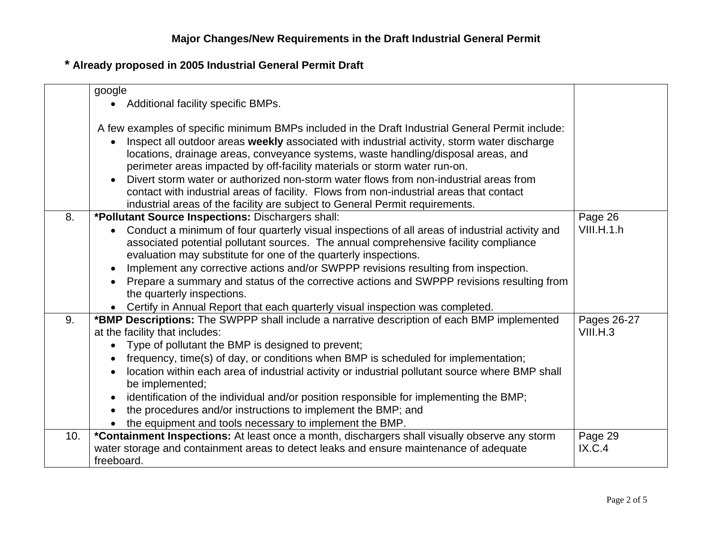|     | google<br>Additional facility specific BMPs.                                                                                                                                                                                                                                                                                                                                                                                                                                                                                                                                                                                          |                         |
|-----|---------------------------------------------------------------------------------------------------------------------------------------------------------------------------------------------------------------------------------------------------------------------------------------------------------------------------------------------------------------------------------------------------------------------------------------------------------------------------------------------------------------------------------------------------------------------------------------------------------------------------------------|-------------------------|
|     | A few examples of specific minimum BMPs included in the Draft Industrial General Permit include:<br>Inspect all outdoor areas weekly associated with industrial activity, storm water discharge<br>locations, drainage areas, conveyance systems, waste handling/disposal areas, and<br>perimeter areas impacted by off-facility materials or storm water run-on.<br>Divert storm water or authorized non-storm water flows from non-industrial areas from<br>contact with industrial areas of facility. Flows from non-industrial areas that contact<br>industrial areas of the facility are subject to General Permit requirements. |                         |
| 8.  | *Pollutant Source Inspections: Dischargers shall:<br>Conduct a minimum of four quarterly visual inspections of all areas of industrial activity and<br>associated potential pollutant sources. The annual comprehensive facility compliance<br>evaluation may substitute for one of the quarterly inspections.<br>Implement any corrective actions and/or SWPPP revisions resulting from inspection.<br>Prepare a summary and status of the corrective actions and SWPPP revisions resulting from<br>the quarterly inspections.<br>Certify in Annual Report that each quarterly visual inspection was completed.                      | Page 26<br>VIII.H.1.h   |
| 9.  | *BMP Descriptions: The SWPPP shall include a narrative description of each BMP implemented<br>at the facility that includes:<br>Type of pollutant the BMP is designed to prevent;<br>frequency, time(s) of day, or conditions when BMP is scheduled for implementation;<br>location within each area of industrial activity or industrial pollutant source where BMP shall<br>be implemented;<br>identification of the individual and/or position responsible for implementing the BMP;<br>the procedures and/or instructions to implement the BMP; and<br>the equipment and tools necessary to implement the BMP.                    | Pages 26-27<br>VIII.H.3 |
| 10. | *Containment Inspections: At least once a month, dischargers shall visually observe any storm<br>water storage and containment areas to detect leaks and ensure maintenance of adequate<br>freeboard.                                                                                                                                                                                                                                                                                                                                                                                                                                 | Page 29<br>IX.C.4       |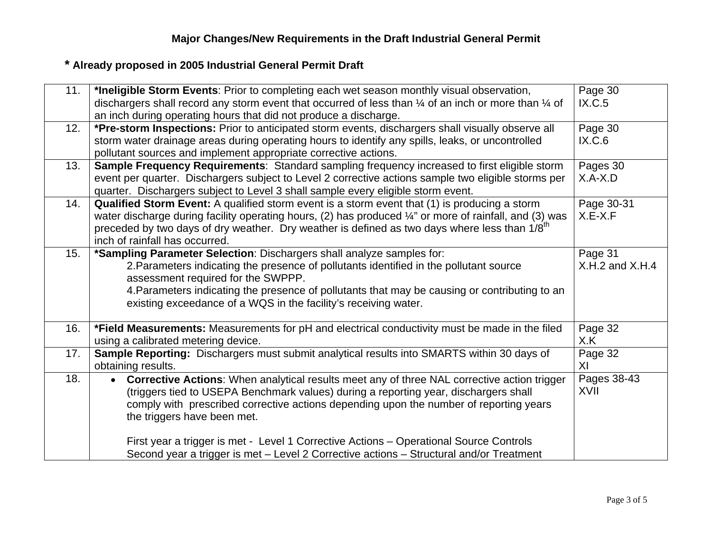| 11. | *Ineligible Storm Events: Prior to completing each wet season monthly visual observation,                          | Page 30             |
|-----|--------------------------------------------------------------------------------------------------------------------|---------------------|
|     | dischargers shall record any storm event that occurred of less than 1/4 of an inch or more than 1/4 of             | IX.C.5              |
|     | an inch during operating hours that did not produce a discharge.                                                   |                     |
| 12. | *Pre-storm Inspections: Prior to anticipated storm events, dischargers shall visually observe all                  | Page 30             |
|     | storm water drainage areas during operating hours to identify any spills, leaks, or uncontrolled                   | IX.C.6              |
|     | pollutant sources and implement appropriate corrective actions.                                                    |                     |
| 13. | Sample Frequency Requirements: Standard sampling frequency increased to first eligible storm                       | Pages 30            |
|     | event per quarter. Dischargers subject to Level 2 corrective actions sample two eligible storms per                | $X.A-X.D$           |
|     | quarter. Dischargers subject to Level 3 shall sample every eligible storm event.                                   |                     |
| 14. | <b>Qualified Storm Event:</b> A qualified storm event is a storm event that (1) is producing a storm               | Page 30-31          |
|     | water discharge during facility operating hours, (2) has produced $\frac{1}{4}$ " or more of rainfall, and (3) was | $X.E-X.F$           |
|     | preceded by two days of dry weather. Dry weather is defined as two days where less than 1/8 <sup>th</sup>          |                     |
|     | inch of rainfall has occurred.                                                                                     |                     |
| 15. | *Sampling Parameter Selection: Dischargers shall analyze samples for:                                              | Page 31             |
|     | 2. Parameters indicating the presence of pollutants identified in the pollutant source                             | $X.H.2$ and $X.H.4$ |
|     | assessment required for the SWPPP.                                                                                 |                     |
|     | 4. Parameters indicating the presence of pollutants that may be causing or contributing to an                      |                     |
|     | existing exceedance of a WQS in the facility's receiving water.                                                    |                     |
|     |                                                                                                                    |                     |
| 16. | *Field Measurements: Measurements for pH and electrical conductivity must be made in the filed                     | Page 32             |
|     | using a calibrated metering device.                                                                                | X.K                 |
| 17. | Sample Reporting: Dischargers must submit analytical results into SMARTS within 30 days of                         | Page $32$           |
|     | obtaining results.                                                                                                 | XI                  |
| 18. | <b>Corrective Actions:</b> When analytical results meet any of three NAL corrective action trigger                 | Pages 38-43         |
|     | (triggers tied to USEPA Benchmark values) during a reporting year, dischargers shall                               | XVII                |
|     | comply with prescribed corrective actions depending upon the number of reporting years                             |                     |
|     | the triggers have been met.                                                                                        |                     |
|     |                                                                                                                    |                     |
|     | First year a trigger is met - Level 1 Corrective Actions - Operational Source Controls                             |                     |
|     | Second year a trigger is met - Level 2 Corrective actions - Structural and/or Treatment                            |                     |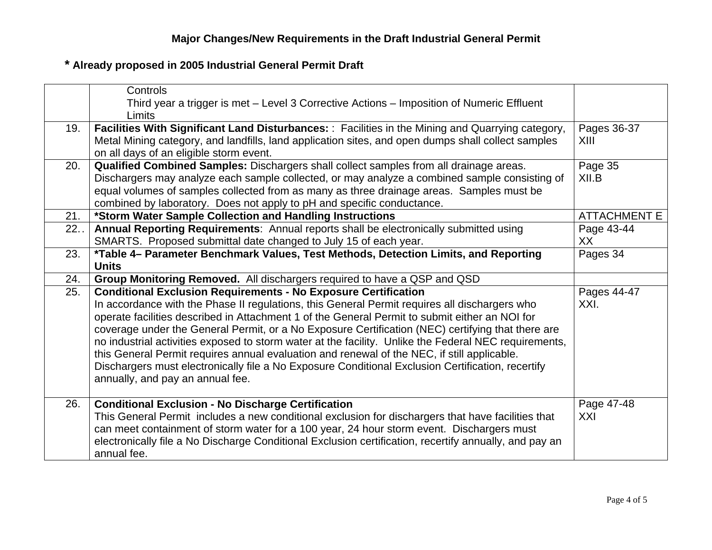|     | Controls                                                                                                 |                     |
|-----|----------------------------------------------------------------------------------------------------------|---------------------|
|     | Third year a trigger is met – Level 3 Corrective Actions – Imposition of Numeric Effluent                |                     |
|     | Limits                                                                                                   |                     |
| 19. | <b>Facilities With Significant Land Disturbances:</b> : Facilities in the Mining and Quarrying category, | Pages 36-37         |
|     | Metal Mining category, and landfills, land application sites, and open dumps shall collect samples       | XIII                |
|     | on all days of an eligible storm event.                                                                  |                     |
| 20. | Qualified Combined Samples: Dischargers shall collect samples from all drainage areas.                   | Page 35             |
|     | Dischargers may analyze each sample collected, or may analyze a combined sample consisting of            | XII.B               |
|     | equal volumes of samples collected from as many as three drainage areas. Samples must be                 |                     |
|     | combined by laboratory. Does not apply to pH and specific conductance.                                   |                     |
| 21. | *Storm Water Sample Collection and Handling Instructions                                                 | <b>ATTACHMENT E</b> |
| 22. | Annual Reporting Requirements: Annual reports shall be electronically submitted using                    | Page 43-44          |
|     | SMARTS. Proposed submittal date changed to July 15 of each year.                                         | XX                  |
| 23. | *Table 4- Parameter Benchmark Values, Test Methods, Detection Limits, and Reporting                      | Pages 34            |
|     | <b>Units</b>                                                                                             |                     |
| 24. | Group Monitoring Removed. All dischargers required to have a QSP and QSD                                 |                     |
| 25. | <b>Conditional Exclusion Requirements - No Exposure Certification</b>                                    | Pages 44-47         |
|     | In accordance with the Phase II regulations, this General Permit requires all dischargers who            | XXI.                |
|     | operate facilities described in Attachment 1 of the General Permit to submit either an NOI for           |                     |
|     | coverage under the General Permit, or a No Exposure Certification (NEC) certifying that there are        |                     |
|     | no industrial activities exposed to storm water at the facility. Unlike the Federal NEC requirements,    |                     |
|     | this General Permit requires annual evaluation and renewal of the NEC, if still applicable.              |                     |
|     | Dischargers must electronically file a No Exposure Conditional Exclusion Certification, recertify        |                     |
|     | annually, and pay an annual fee.                                                                         |                     |
|     |                                                                                                          |                     |
| 26. | <b>Conditional Exclusion - No Discharge Certification</b>                                                | Page 47-48          |
|     | This General Permit includes a new conditional exclusion for dischargers that have facilities that       | XXI                 |
|     | can meet containment of storm water for a 100 year, 24 hour storm event. Dischargers must                |                     |
|     | electronically file a No Discharge Conditional Exclusion certification, recertify annually, and pay an   |                     |
|     | annual fee.                                                                                              |                     |